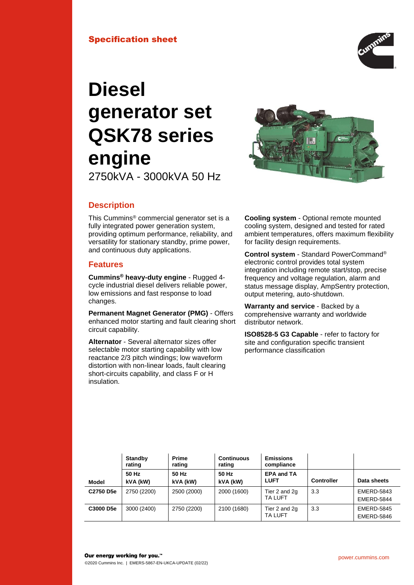

# **Diesel generator set QSK78 series engine**

2750kVA - 3000kVA 50 Hz



# **Description**

This Cummins® commercial generator set is a fully integrated power generation system. providing optimum performance, reliability, and versatility for stationary standby, prime power, and continuous duty applications.

# **Features**

**Cummins® heavy-duty engine** - Rugged 4 cycle industrial diesel delivers reliable power, low emissions and fast response to load changes.

**Permanent Magnet Generator (PMG)** - Offers enhanced motor starting and fault clearing short circuit capability.

**Alternator** - Several alternator sizes offer selectable motor starting capability with low reactance 2/3 pitch windings; low waveform distortion with non-linear loads, fault clearing short-circuits capability, and class F or H insulation.

**Cooling system** - Optional remote mounted cooling system, designed and tested for rated ambient temperatures, offers maximum flexibility for facility design requirements.

**Control system** - Standard PowerCommand® electronic control provides total system integration including remote start/stop, precise frequency and voltage regulation, alarm and status message display, AmpSentry protection, output metering, auto-shutdown.

**Warranty and service** - Backed by a comprehensive warranty and worldwide distributor network.

**ISO8528-5 G3 Capable** - refer to factory for site and configuration specific transient performance classification

|              | <b>Standby</b><br>rating | <b>Prime</b><br>rating | <b>Continuous</b><br>rating | <b>Emissions</b><br>compliance   |                   |                                        |
|--------------|--------------------------|------------------------|-----------------------------|----------------------------------|-------------------|----------------------------------------|
| <b>Model</b> | 50 Hz<br>kVA (kW)        | 50 Hz<br>kVA (kW)      | 50 Hz<br>kVA (kW)           | <b>EPA and TA</b><br><b>LUFT</b> | <b>Controller</b> | Data sheets                            |
| C2750 D5e    | 2750 (2200)              | 2500 (2000)            | 2000 (1600)                 | Tier 2 and 2g<br><b>TA LUFT</b>  | 3.3               | <b>EMERD-5843</b><br><b>EMERD-5844</b> |
| C3000 D5e    | 3000 (2400)              | 2750 (2200)            | 2100 (1680)                 | Tier 2 and 2g<br><b>TA LUFT</b>  | 3.3               | <b>EMERD-5845</b><br>EMERD-5846        |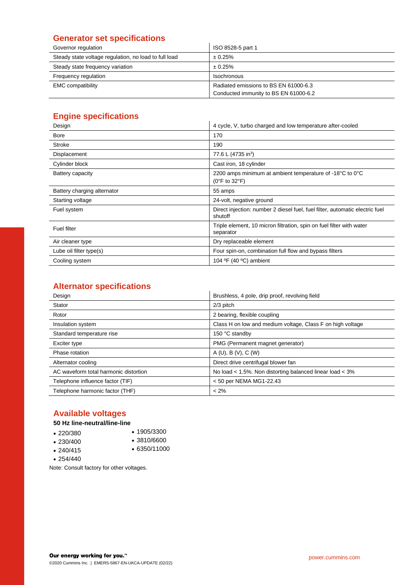# **Generator set specifications**

| Governor regulation                                   | ISO 8528-5 part 1                     |
|-------------------------------------------------------|---------------------------------------|
| Steady state voltage regulation, no load to full load | $\pm 0.25\%$                          |
| Steady state frequency variation                      | ± 0.25%                               |
| Frequency regulation                                  | Isochronous                           |
| <b>EMC</b> compatibility                              | Radiated emissions to BS EN 61000-6.3 |
|                                                       | Conducted immunity to BS EN 61000-6.2 |

# **Engine specifications**

| Design                      | 4 cycle, V, turbo charged and low temperature after-cooled                                     |  |  |
|-----------------------------|------------------------------------------------------------------------------------------------|--|--|
| <b>Bore</b>                 | 170                                                                                            |  |  |
| Stroke                      | 190                                                                                            |  |  |
| Displacement                | 77.6 L (4735 in <sup>3</sup> )                                                                 |  |  |
| Cylinder block              | Cast iron, 18 cylinder                                                                         |  |  |
| Battery capacity            | 2200 amps minimum at ambient temperature of -18°C to 0°C<br>$(0^{\circ}$ F to 32 $^{\circ}$ F) |  |  |
| Battery charging alternator | 55 amps                                                                                        |  |  |
| Starting voltage            | 24-volt, negative ground                                                                       |  |  |
| Fuel system                 | Direct injection: number 2 diesel fuel, fuel filter, automatic electric fuel<br>shutoff        |  |  |
| <b>Fuel filter</b>          | Triple element, 10 micron filtration, spin on fuel filter with water<br>separator              |  |  |
| Air cleaner type            | Dry replaceable element                                                                        |  |  |
| Lube oil filter type(s)     | Four spin-on, combination full flow and bypass filters                                         |  |  |
| Cooling system              | 104 $\textdegree$ F (40 $\textdegree$ C) ambient                                               |  |  |

# **Alternator specifications**

| Design                                | Brushless, 4 pole, drip proof, revolving field             |  |
|---------------------------------------|------------------------------------------------------------|--|
| Stator                                | 2/3 pitch                                                  |  |
| Rotor                                 | 2 bearing, flexible coupling                               |  |
| Insulation system                     | Class H on low and medium voltage, Class F on high voltage |  |
| Standard temperature rise             | 150 °C standby                                             |  |
| Exciter type                          | PMG (Permanent magnet generator)                           |  |
| Phase rotation                        | A(U), B(V), C(W)                                           |  |
| Alternator cooling                    | Direct drive centrifugal blower fan                        |  |
| AC waveform total harmonic distortion | No load < 1.5%. Non distorting balanced linear load < 3%   |  |
| Telephone influence factor (TIF)      | < 50 per NEMA MG1-22.43                                    |  |
| Telephone harmonic factor (THF)       | $< 2\%$                                                    |  |

# **Available voltages**

# **50 Hz line-neutral/line-line**

| $\cdot$ 220/380 | $\cdot$ 1905/3300 |
|-----------------|-------------------|
| $\cdot$ 230/400 | $\cdot$ 3810/6600 |

• 240/415 • 6350/11000

• 254/440

Note: Consult factory for other voltages.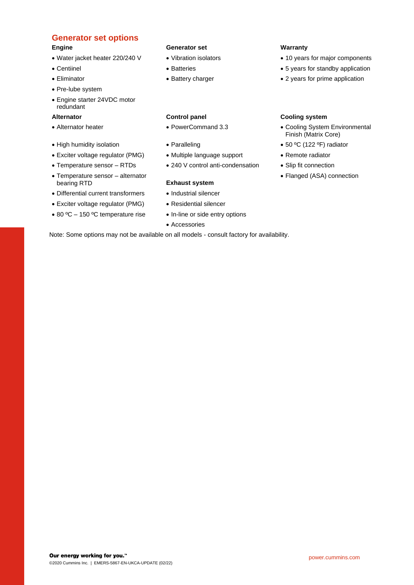# **Generator set options**

- 
- 
- 
- Pre-lube system
- Engine starter 24VDC motor redundant

- 
- 
- Exciter voltage regulator (PMG) Multiple language support Remote radiator
- 
- Temperature sensor alternator bearing RTD **Exhaust system**
- Differential current transformers Industrial silencer
- Exciter voltage regulator (PMG) Residential silencer
- 80 °C 150 °C temperature rise In-line or side entry options

### **Engine Generator set Warranty**

- 
- 
- 

- 
- 
- 
- Temperature sensor RTDs 240 V control anti-condensation Slip fit connection

- 
- 
- 
- Accessories

- Water jacket heater 220/240 V Vibration isolators 10 years for major components
- Centiinel **Batteries** Batteries 5 years for standby application
- Eliminator **Eliminator Battery charger** 2 years for prime application

### **Alternator Control panel Cooling system**

- Alternator heater PowerCommand 3.3 PowerCommand 3.3 Cooling System Environmental Finish (Matrix Core)
- High humidity isolation Paralleling Foreign 50 °C (122 °F) radiator
	-
	-
	- Flanged (ASA) connection

Note: Some options may not be available on all models - consult factory for availability.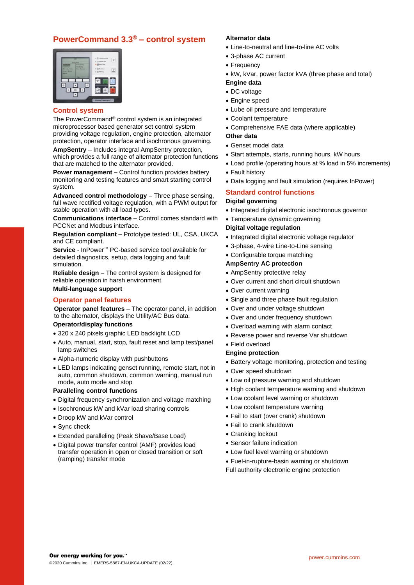# **PowerCommand 3.3® – control system**



#### **Control system**

The PowerCommand® control system is an integrated microprocessor based generator set control system providing voltage regulation, engine protection, alternator protection, operator interface and isochronous governing.

**AmpSentry** – Includes integral AmpSentry protection, which provides a full range of alternator protection functions that are matched to the alternator provided.

**Power management** – Control function provides battery monitoring and testing features and smart starting control system.

**Advanced control methodology** – Three phase sensing, full wave rectified voltage regulation, with a PWM output for stable operation with all load types.

**Communications interface** – Control comes standard with PCCNet and Modbus interface.

**Regulation compliant** – Prototype tested: UL, CSA, UKCA and CE compliant.

**Service** - InPower™ PC-based service tool available for detailed diagnostics, setup, data logging and fault simulation.

**Reliable design** – The control system is designed for reliable operation in harsh environment.

#### **Multi-language support**

#### **Operator panel features**

**Operator panel features** – The operator panel, in addition to the alternator, displays the Utility/AC Bus data.

### **Operator/display functions**

- 320 x 240 pixels graphic LED backlight LCD
- Auto, manual, start, stop, fault reset and lamp test/panel lamp switches
- Alpha-numeric display with pushbuttons
- LED lamps indicating genset running, remote start, not in auto, common shutdown, common warning, manual run mode, auto mode and stop

#### **Paralleling control functions**

- Digital frequency synchronization and voltage matching
- Isochronous kW and kVar load sharing controls
- Droop kW and kVar control
- Sync check
- Extended paralleling (Peak Shave/Base Load)
- Digital power transfer control (AMF) provides load transfer operation in open or closed transition or soft (ramping) transfer mode

### **Alternator data**

- Line-to-neutral and line-to-line AC volts
- 3-phase AC current
- Frequency
- kW, kVar, power factor kVA (three phase and total)
- **Engine data**
- DC voltage
- Engine speed
- Lube oil pressure and temperature
- Coolant temperature
- Comprehensive FAE data (where applicable)

#### **Other data**

- Genset model data
- Start attempts, starts, running hours, kW hours
- Load profile (operating hours at % load in 5% increments)
- Fault history
- Data logging and fault simulation (requires InPower)

#### **Standard control functions Digital governing**

- Integrated digital electronic isochronous governor
- Temperature dynamic governing

#### **Digital voltage regulation**

- Integrated digital electronic voltage regulator
- 3-phase, 4-wire Line-to-Line sensing

#### • Configurable torque matching

#### **AmpSentry AC protection**

- AmpSentry protective relay
- Over current and short circuit shutdown
- Over current warning
- Single and three phase fault regulation
- Over and under voltage shutdown
- Over and under frequency shutdown
- Overload warning with alarm contact
- Reverse power and reverse Var shutdown
- Field overload

#### **Engine protection**

- Battery voltage monitoring, protection and testing
- Over speed shutdown
- Low oil pressure warning and shutdown
- High coolant temperature warning and shutdown
- Low coolant level warning or shutdown
- Low coolant temperature warning
- Fail to start (over crank) shutdown
- Fail to crank shutdown
- Cranking lockout
- Sensor failure indication
- Low fuel level warning or shutdown
- Fuel-in-rupture-basin warning or shutdown Full authority electronic engine protection